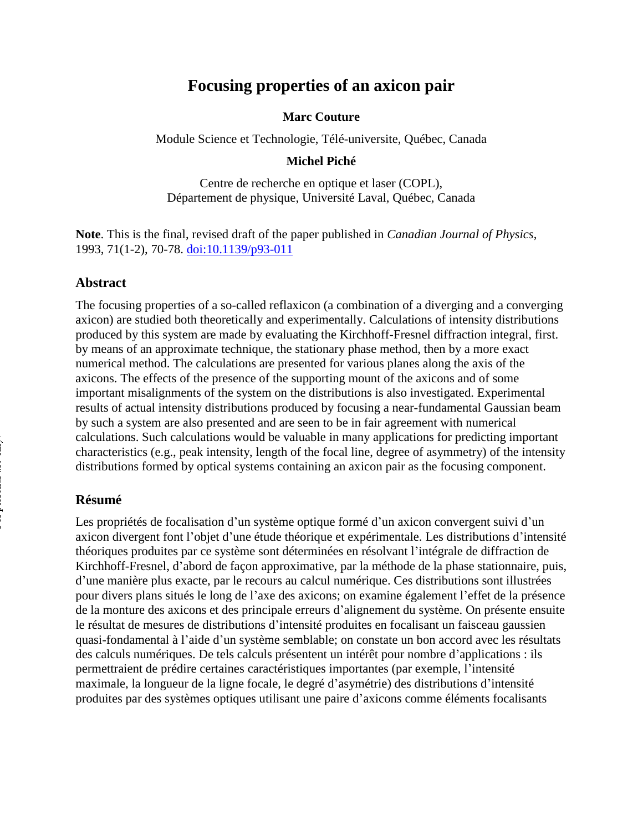# **Focusing properties of an axicon pair**

#### **Marc Couture**

Module Science et Technologie, Télé-universite, Québec, Canada

### **Michel Piché**

Centre de recherche en optique et laser (COPL), Département de physique, Université Laval, Québec, Canada

**Note**. This is the final, revised draft of the paper published in *Canadian Journal of Physics*, 1993, 71(1-2), 70-78. [doi:10.1139/p93-011](http://doi.org/10.1139/p93-011)

### **Abstract**

The focusing properties of a so-called reflaxicon (a combination of a diverging and a converging axicon) are studied both theoretically and experimentally. Calculations of intensity distributions produced by this system are made by evaluating the Kirchhoff-Fresnel diffraction integral, first. by means of an approximate technique, the stationary phase method, then by a more exact numerical method. The calculations are presented for various planes along the axis of the axicons. The effects of the presence of the supporting mount of the axicons and of some important misalignments of the system on the distributions is also investigated. Experimental results of actual intensity distributions produced by focusing a near-fundamental Gaussian beam by such a system are also presented and are seen to be in fair agreement with numerical calculations. Such calculations would be valuable in many applications for predicting important characteristics (e.g., peak intensity, length of the focal line, degree of asymmetry) of the intensity distributions formed by optical systems containing an axicon pair as the focusing component.

#### **Résumé**

Les propriétés de focalisation d'un système optique formé d'un axicon convergent suivi d'un axicon divergent font l'objet d'une étude théorique et expérimentale. Les distributions d'intensité théoriques produites par ce système sont déterminées en résolvant l'intégrale de diffraction de Kirchhoff-Fresnel, d'abord de façon approximative, par la méthode de la phase stationnaire, puis, d'une manière plus exacte, par le recours au calcul numérique. Ces distributions sont illustrées pour divers plans situés le long de l'axe des axicons; on examine également l'effet de la présence de la monture des axicons et des principale erreurs d'alignement du système. On présente ensuite le résultat de mesures de distributions d'intensité produites en focalisant un faisceau gaussien quasi-fondamental à l'aide d'un système semblable; on constate un bon accord avec les résultats des calculs numériques. De tels calculs présentent un intérêt pour nombre d'applications : ils permettraient de prédire certaines caractéristiques importantes (par exemple, l'intensité maximale, la longueur de la ligne focale, le degré d'asymétrie) des distributions d'intensité produites par des systèmes optiques utilisant une paire d'axicons comme éléments focalisants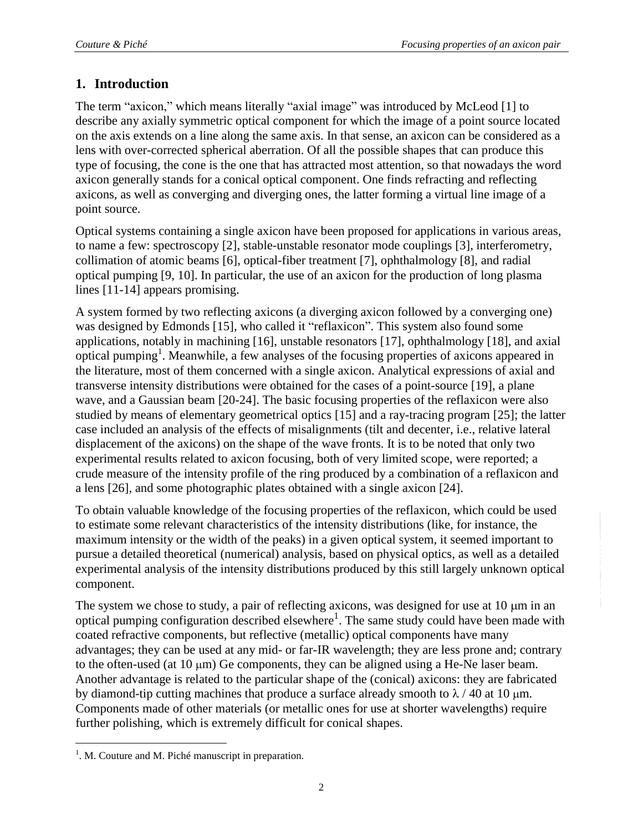## **1. Introduction**

The term "axicon," which means literally "axial image" was introduced by McLeod [1] to describe any axially symmetric optical component for which the image of a point source located on the axis extends on a line along the same axis. In that sense, an axicon can be considered as a lens with over-corrected spherical aberration. Of all the possible shapes that can produce this type of focusing, the cone is the one that has attracted most attention, so that nowadays the word axicon generally stands for a conical optical component. One finds refracting and reflecting axicons, as well as converging and diverging ones, the latter forming a virtual line image of a point source.

Optical systems containing a single axicon have been proposed for applications in various areas, to name a few: spectroscopy [2], stable-unstable resonator mode couplings [3], interferometry, collimation of atomic beams [6], optical-fiber treatment [7], ophthalmology [8], and radial optical pumping [9, 10]. In particular, the use of an axicon for the production of long plasma lines [11-14] appears promising.

A system formed by two reflecting axicons (a diverging axicon followed by a converging one) was designed by Edmonds [15], who called it "reflaxicon". This system also found some applications, notably in machining [16], unstable resonators [17], ophthalmology [18], and axial optical pumping<sup>1</sup>. Meanwhile, a few analyses of the focusing properties of axicons appeared in the literature, most of them concerned with a single axicon. Analytical expressions of axial and transverse intensity distributions were obtained for the cases of a point-source [19], a plane wave, and a Gaussian beam [20-24]. The basic focusing properties of the reflaxicon were also studied by means of elementary geometrical optics [15] and a ray-tracing program [25]; the latter case included an analysis of the effects of misalignments (tilt and decenter, i.e., relative lateral displacement of the axicons) on the shape of the wave fronts. It is to be noted that only two experimental results related to axicon focusing, both of very limited scope, were reported; a crude measure of the intensity profile of the ring produced by a combination of a reflaxicon and a lens [26], and some photographic plates obtained with a single axicon [24].

To obtain valuable knowledge of the focusing properties of the reflaxicon, which could be used to estimate some relevant characteristics of the intensity distributions (like, for instance, the maximum intensity or the width of the peaks) in a given optical system, it seemed important to pursue a detailed theoretical (numerical) analysis, based on physical optics, as well as a detailed experimental analysis of the intensity distributions produced by this still largely unknown optical component.

The system we chose to study, a pair of reflecting axicons, was designed for use at  $10 \mu m$  in an optical pumping configuration described elsewhere<sup>1</sup>. The same study could have been made with coated refractive components, but reflective (metallic) optical components have many advantages; they can be used at any mid- or far-IR wavelength; they are less prone and; contrary to the often-used (at  $10 \mu m$ ) Ge components, they can be aligned using a He-Ne laser beam. Another advantage is related to the particular shape of the (conical) axicons: they are fabricated by diamond-tip cutting machines that produce a surface already smooth to  $\lambda$  / 40 at 10  $\mu$ m. Components made of other materials (or metallic ones for use at shorter wavelengths) require further polishing, which is extremely difficult for conical shapes.

 $\overline{a}$ 

 $1$ . M. Couture and M. Piché manuscript in preparation.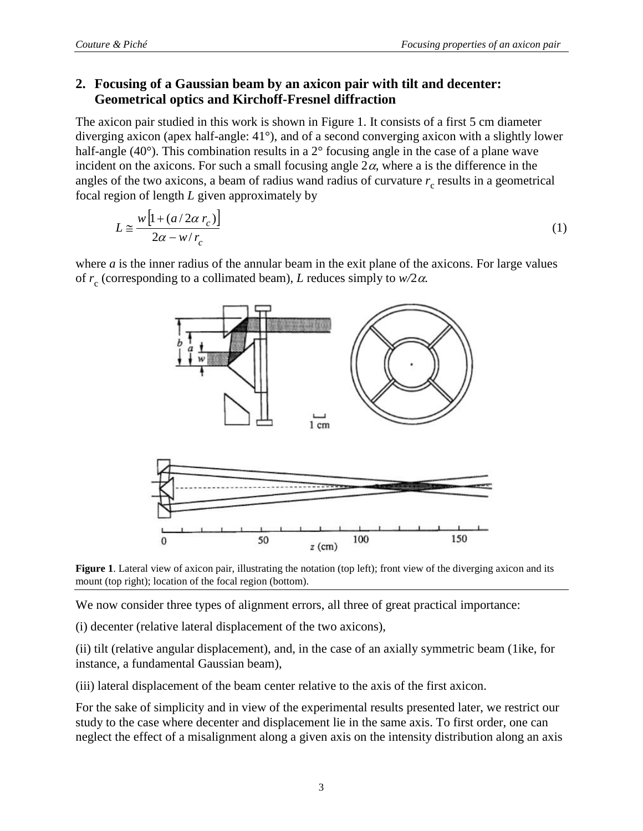### **2. Focusing of a Gaussian beam by an axicon pair with tilt and decenter: Geometrical optics and Kirchoff-Fresnel diffraction**

The axicon pair studied in this work is shown in Figure 1. It consists of a first 5 cm diameter diverging axicon (apex half-angle: 41°), and of a second converging axicon with a slightly lower half-angle (40°). This combination results in a 2° focusing angle in the case of a plane wave incident on the axicons. For such a small focusing angle  $2\alpha$ , where a is the difference in the angles of the two axicons, a beam of radius wand radius of curvature  $r_c$  results in a geometrical focal region of length *L* given approximately by

$$
L \approx \frac{w \left[ 1 + \left( a/2\alpha \, r_c \right) \right]}{2\alpha - w/r_c} \tag{1}
$$

where *a* is the inner radius of the annular beam in the exit plane of the axicons. For large values of  $r_c$  (corresponding to a collimated beam), *L* reduces simply to  $w/2\alpha$ .



**Figure 1**. Lateral view of axicon pair, illustrating the notation (top left); front view of the diverging axicon and its mount (top right); location of the focal region (bottom).

We now consider three types of alignment errors, all three of great practical importance:

(i) decenter (relative lateral displacement of the two axicons),

(ii) tilt (relative angular displacement), and, in the case of an axially symmetric beam (1ike, for instance, a fundamental Gaussian beam),

(iii) lateral displacement of the beam center relative to the axis of the first axicon.

For the sake of simplicity and in view of the experimental results presented later, we restrict our study to the case where decenter and displacement lie in the same axis. To first order, one can neglect the effect of a misalignment along a given axis on the intensity distribution along an axis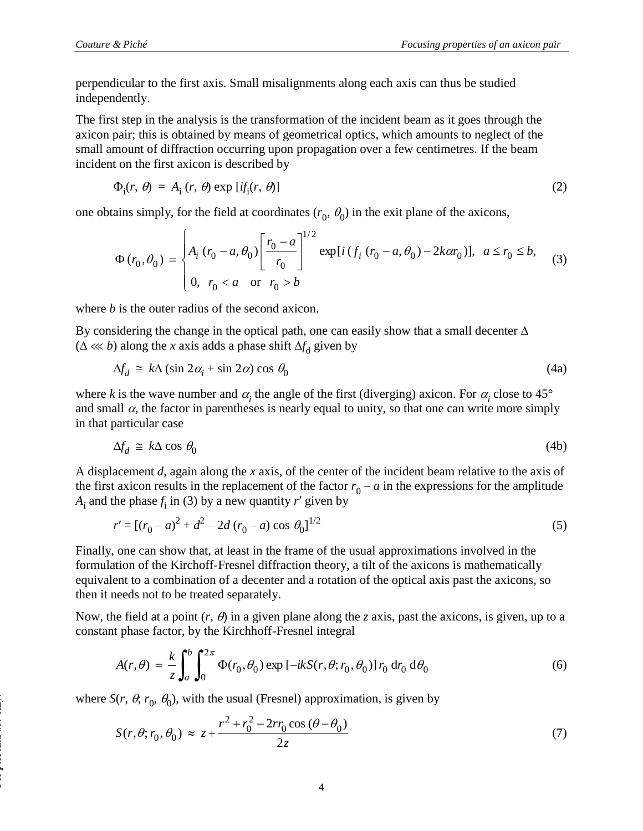perpendicular to the first axis. Small misalignments along each axis can thus be studied independently.

The first step in the analysis is the transformation of the incident beam as it goes through the axicon pair; this is obtained by means of geometrical optics, which amounts to neglect of the small amount of diffraction occurring upon propagation over a few centimetres. If the beam incident on the first axicon is described by

$$
\Phi_{i}(r, \theta) = A_{i}(r, \theta) \exp[i f_{i}(r, \theta)] \tag{2}
$$

one obtains simply, for the field at coordinates  $(r_0, \theta_0)$  in the exit plane of the axicons,

$$
\Phi(r_0, \theta_0) = \begin{cases} A_i (r_0 - a, \theta_0) \left[ \frac{r_0 - a}{r_0} \right]^{1/2} \exp[i(f_i (r_0 - a, \theta_0) - 2k\alpha r_0)], & a \le r_0 \le b, \\ 0, & r_0 < a \quad \text{or} \quad r_0 > b \end{cases}
$$
(3)

where *b* is the outer radius of the second axicon.

By considering the change in the optical path, one can easily show that a small decenter  $\Delta$  $(\Delta \ll k)$  along the *x* axis adds a phase shift  $\Delta f_d$  given by

$$
\Delta f_d \cong k\Delta \left(\sin 2\alpha_i + \sin 2\alpha\right) \cos \theta_0 \tag{4a}
$$

where *k* is the wave number and  $\alpha_i$  the angle of the first (diverging) axicon. For  $\alpha_i$  close to 45° and small  $\alpha$ , the factor in parentheses is nearly equal to unity, so that one can write more simply in that particular case

$$
\Delta f_d \cong k\Delta \cos \theta_0 \tag{4b}
$$

A displacement *d*, again along the *x* axis, of the center of the incident beam relative to the axis of the first axicon results in the replacement of the factor  $r_0 - a$  in the expressions for the amplitude  $A_i$  and the phase  $f_i$  in (3) by a new quantity *r*' given by

$$
r' = [(r_0 - a)^2 + d^2 - 2d (r_0 - a) \cos \theta_0]^{1/2}
$$
\n(5)

Finally, one can show that, at least in the frame of the usual approximations involved in the formulation of the Kirchoff-Fresnel diffraction theory, a tilt of the axicons is mathematically equivalent to a combination of a decenter and a rotation of the optical axis past the axicons, so then it needs not to be treated separately.

Now, the field at a point  $(r, \theta)$  in a given plane along the *z* axis, past the axicons, is given, up to a constant phase factor, by the Kirchhoff-Fresnel integral

$$
A(r,\theta) = \frac{k}{z} \int_a^b \int_0^{2\pi} \Phi(r_0,\theta_0) \exp\left[-ikS(r,\theta;r_0,\theta_0)\right] r_0 \, dr_0 \, d\theta_0 \tag{6}
$$

where  $S(r, \theta, r_0, \theta_0)$ , with the usual (Fresnel) approximation, is given by

$$
S(r, \theta; r_0, \theta_0) \approx z + \frac{r^2 + r_0^2 - 2rr_0 \cos(\theta - \theta_0)}{2z}
$$
 (7)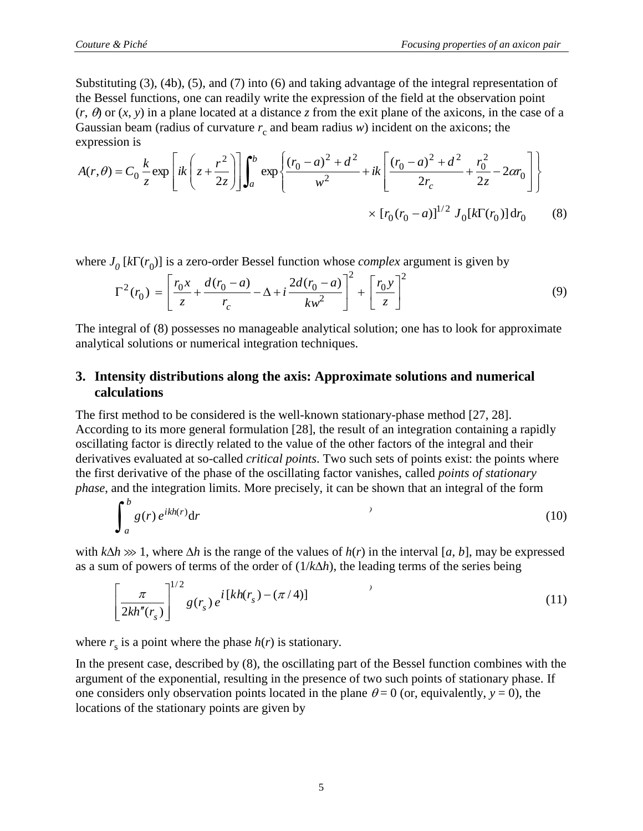Substituting (3), (4b), (5), and (7) into (6) and taking advantage of the integral representation of the Bessel functions, one can readily write the expression of the field at the observation point  $(r, \theta)$  or  $(x, y)$  in a plane located at a distance *z* from the exit plane of the axicons, in the case of a Gaussian beam (radius of curvature  $r_c$  and beam radius *w*) incident on the axicons; the expression is

$$
A(r,\theta) = C_0 \frac{k}{z} \exp\left[ik\left(z + \frac{r^2}{2z}\right)\right] \int_a^b \exp\left\{\frac{(r_0 - a)^2 + d^2}{w^2} + ik\left[\frac{(r_0 - a)^2 + d^2}{2r_c} + \frac{r_0^2}{2z} - 2\alpha r_0\right]\right\}
$$

$$
\times \left[r_0(r_0 - a)\right]^{1/2} J_0[k\Gamma(r_0)] dr_0 \tag{8}
$$

where  $J_0$  [ $k\Gamma(r_0)$ ] is a zero-order Bessel function whose *complex* argument is given by

$$
\Gamma^{2}(r_{0}) = \left[\frac{r_{0}x}{z} + \frac{d(r_{0} - a)}{r_{c}} - \Delta + i\frac{2d(r_{0} - a)}{kw^{2}}\right]^{2} + \left[\frac{r_{0}y}{z}\right]^{2}
$$
(9)

The integral of (8) possesses no manageable analytical solution; one has to look for approximate analytical solutions or numerical integration techniques.

### **3. Intensity distributions along the axis: Approximate solutions and numerical calculations**

The first method to be considered is the well-known stationary-phase method [27, 28]. According to its more general formulation [28], the result of an integration containing a rapidly oscillating factor is directly related to the value of the other factors of the integral and their derivatives evaluated at so-called *critical points*. Two such sets of points exist: the points where the first derivative of the phase of the oscillating factor vanishes, called *points of stationary phase*, and the integration limits. More precisely, it can be shown that an integral of the form

$$
\int_{a}^{b} g(r) e^{ikh(r)} dr \tag{10}
$$

with  $k\Delta h \gg 1$ , where  $\Delta h$  is the range of the values of  $h(r)$  in the interval [a, b], may be expressed as a sum of powers of terms of the order of  $(1/k\Delta h)$ , the leading terms of the series being

$$
\left[\frac{\pi}{2kh''(r_s)}\right]^{1/2} g(r_s) e^{i[kh(r_s) - (\pi/4)]}
$$
\n(11)

where  $r_s$  is a point where the phase  $h(r)$  is stationary.

In the present case, described by (8), the oscillating part of the Bessel function combines with the argument of the exponential, resulting in the presence of two such points of stationary phase. If one considers only observation points located in the plane  $\theta = 0$  (or, equivalently,  $y = 0$ ), the locations of the stationary points are given by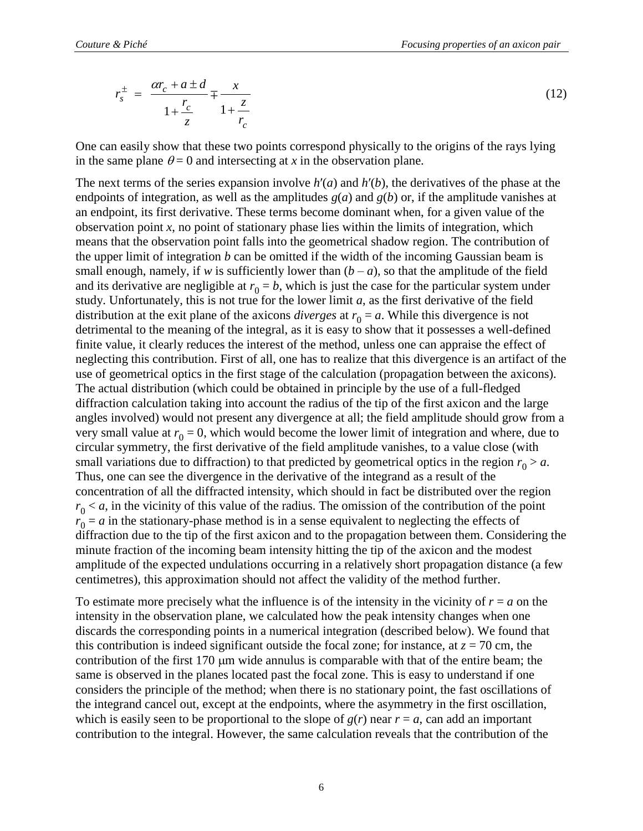$$
r_s^{\pm} = \frac{\alpha r_c + a \pm d}{1 + \frac{r_c}{z}} \mp \frac{x}{1 + \frac{z}{r_c}}
$$
(12)

One can easily show that these two points correspond physically to the origins of the rays lying in the same plane  $\theta = 0$  and intersecting at *x* in the observation plane.

The next terms of the series expansion involve *h*′(*a*) and *h*′(*b*), the derivatives of the phase at the endpoints of integration, as well as the amplitudes  $g(a)$  and  $g(b)$  or, if the amplitude vanishes at an endpoint, its first derivative. These terms become dominant when, for a given value of the observation point *x*, no point of stationary phase lies within the limits of integration, which means that the observation point falls into the geometrical shadow region. The contribution of the upper limit of integration *b* can be omitted if the width of the incoming Gaussian beam is small enough, namely, if *w* is sufficiently lower than  $(b - a)$ , so that the amplitude of the field and its derivative are negligible at  $r_0 = b$ , which is just the case for the particular system under study. Unfortunately, this is not true for the lower limit *a*, as the first derivative of the field distribution at the exit plane of the axicons *diverges* at  $r_0 = a$ . While this divergence is not detrimental to the meaning of the integral, as it is easy to show that it possesses a well-defined finite value, it clearly reduces the interest of the method, unless one can appraise the effect of neglecting this contribution. First of all, one has to realize that this divergence is an artifact of the use of geometrical optics in the first stage of the calculation (propagation between the axicons). The actual distribution (which could be obtained in principle by the use of a full-fledged diffraction calculation taking into account the radius of the tip of the first axicon and the large angles involved) would not present any divergence at all; the field amplitude should grow from a very small value at  $r_0 = 0$ , which would become the lower limit of integration and where, due to circular symmetry, the first derivative of the field amplitude vanishes, to a value close (with small variations due to diffraction) to that predicted by geometrical optics in the region  $r_0 > a$ . Thus, one can see the divergence in the derivative of the integrand as a result of the concentration of all the diffracted intensity, which should in fact be distributed over the region  $r_0 < a$ , in the vicinity of this value of the radius. The omission of the contribution of the point  $r_0 = a$  in the stationary-phase method is in a sense equivalent to neglecting the effects of diffraction due to the tip of the first axicon and to the propagation between them. Considering the minute fraction of the incoming beam intensity hitting the tip of the axicon and the modest amplitude of the expected undulations occurring in a relatively short propagation distance (a few centimetres), this approximation should not affect the validity of the method further.

To estimate more precisely what the influence is of the intensity in the vicinity of  $r = a$  on the intensity in the observation plane, we calculated how the peak intensity changes when one discards the corresponding points in a numerical integration (described below). We found that this contribution is indeed significant outside the focal zone; for instance, at  $z = 70$  cm, the contribution of the first  $170 \mu m$  wide annulus is comparable with that of the entire beam; the same is observed in the planes located past the focal zone. This is easy to understand if one considers the principle of the method; when there is no stationary point, the fast oscillations of the integrand cancel out, except at the endpoints, where the asymmetry in the first oscillation, which is easily seen to be proportional to the slope of  $g(r)$  near  $r = a$ , can add an important contribution to the integral. However, the same calculation reveals that the contribution of the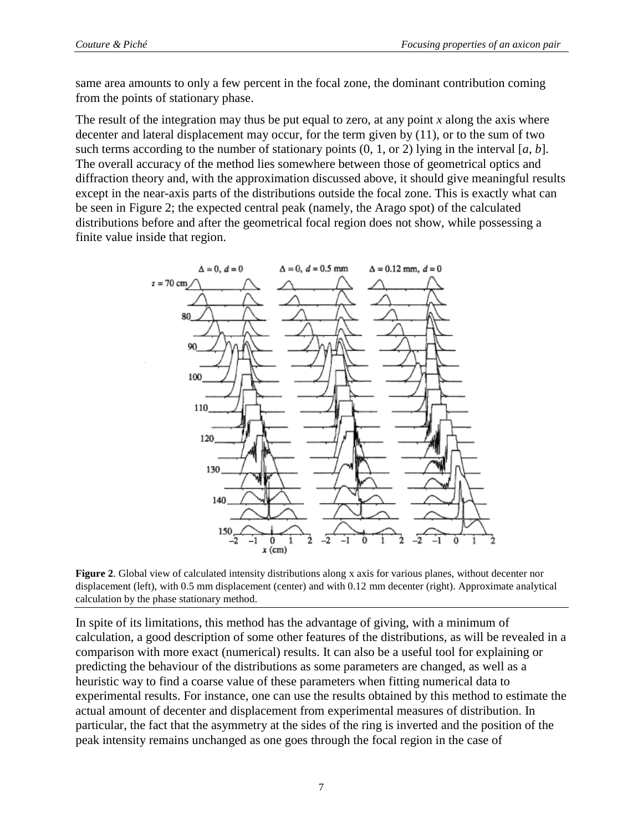same area amounts to only a few percent in the focal zone, the dominant contribution coming from the points of stationary phase.

The result of the integration may thus be put equal to zero, at any point *x* along the axis where decenter and lateral displacement may occur, for the term given by (11), or to the sum of two such terms according to the number of stationary points  $(0, 1, \text{or } 2)$  lying in the interval [ $a, b$ ]. The overall accuracy of the method lies somewhere between those of geometrical optics and diffraction theory and, with the approximation discussed above, it should give meaningful results except in the near-axis parts of the distributions outside the focal zone. This is exactly what can be seen in Figure 2; the expected central peak (namely, the Arago spot) of the calculated distributions before and after the geometrical focal region does not show, while possessing a finite value inside that region.



**Figure 2**. Global view of calculated intensity distributions along x axis for various planes, without decenter nor displacement (left), with 0.5 mm displacement (center) and with 0.12 mm decenter (right). Approximate analytical calculation by the phase stationary method.

In spite of its limitations, this method has the advantage of giving, with a minimum of calculation, a good description of some other features of the distributions, as will be revealed in a comparison with more exact (numerical) results. It can also be a useful tool for explaining or predicting the behaviour of the distributions as some parameters are changed, as well as a heuristic way to find a coarse value of these parameters when fitting numerical data to experimental results. For instance, one can use the results obtained by this method to estimate the actual amount of decenter and displacement from experimental measures of distribution. In particular, the fact that the asymmetry at the sides of the ring is inverted and the position of the peak intensity remains unchanged as one goes through the focal region in the case of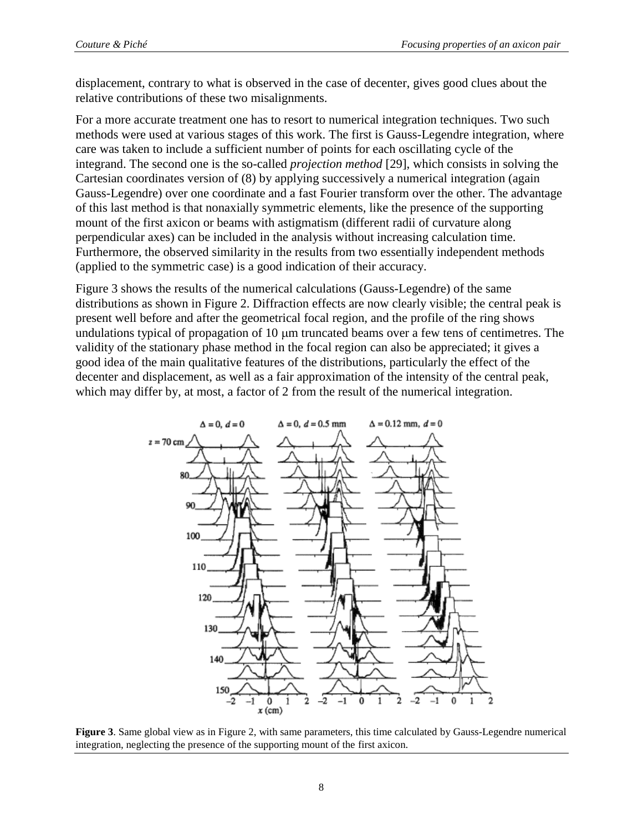displacement, contrary to what is observed in the case of decenter, gives good clues about the relative contributions of these two misalignments.

For a more accurate treatment one has to resort to numerical integration techniques. Two such methods were used at various stages of this work. The first is Gauss-Legendre integration, where care was taken to include a sufficient number of points for each oscillating cycle of the integrand. The second one is the so-called *projection method* [29], which consists in solving the Cartesian coordinates version of (8) by applying successively a numerical integration (again Gauss-Legendre) over one coordinate and a fast Fourier transform over the other. The advantage of this last method is that nonaxially symmetric elements, like the presence of the supporting mount of the first axicon or beams with astigmatism (different radii of curvature along perpendicular axes) can be included in the analysis without increasing calculation time. Furthermore, the observed similarity in the results from two essentially independent methods (applied to the symmetric case) is a good indication of their accuracy.

Figure 3 shows the results of the numerical calculations (Gauss-Legendre) of the same distributions as shown in Figure 2. Diffraction effects are now clearly visible; the central peak is present well before and after the geometrical focal region, and the profile of the ring shows undulations typical of propagation of  $10 \mu m$  truncated beams over a few tens of centimetres. The validity of the stationary phase method in the focal region can also be appreciated; it gives a good idea of the main qualitative features of the distributions, particularly the effect of the decenter and displacement, as well as a fair approximation of the intensity of the central peak, which may differ by, at most, a factor of 2 from the result of the numerical integration.



**Figure 3**. Same global view as in Figure 2, with same parameters, this time calculated by Gauss-Legendre numerical integration, neglecting the presence of the supporting mount of the first axicon.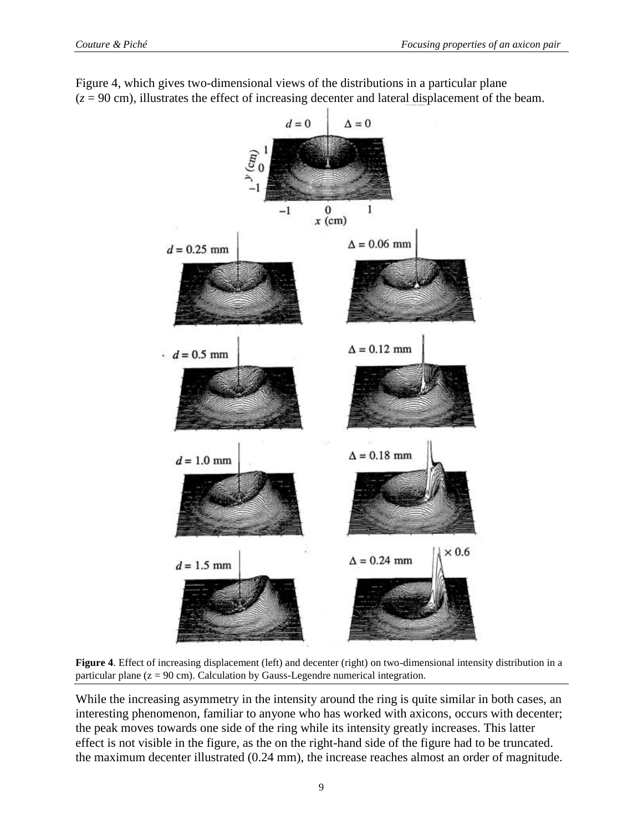

Figure 4, which gives two-dimensional views of the distributions in a particular plane  $(z = 90 \text{ cm})$ , illustrates the effect of increasing decenter and lateral displacement of the beam.

**Figure 4**. Effect of increasing displacement (left) and decenter (right) on two-dimensional intensity distribution in a particular plane  $(z = 90 \text{ cm})$ . Calculation by Gauss-Legendre numerical integration.

While the increasing asymmetry in the intensity around the ring is quite similar in both cases, an interesting phenomenon, familiar to anyone who has worked with axicons, occurs with decenter; the peak moves towards one side of the ring while its intensity greatly increases. This latter effect is not visible in the figure, as the on the right-hand side of the figure had to be truncated. the maximum decenter illustrated (0.24 mm), the increase reaches almost an order of magnitude.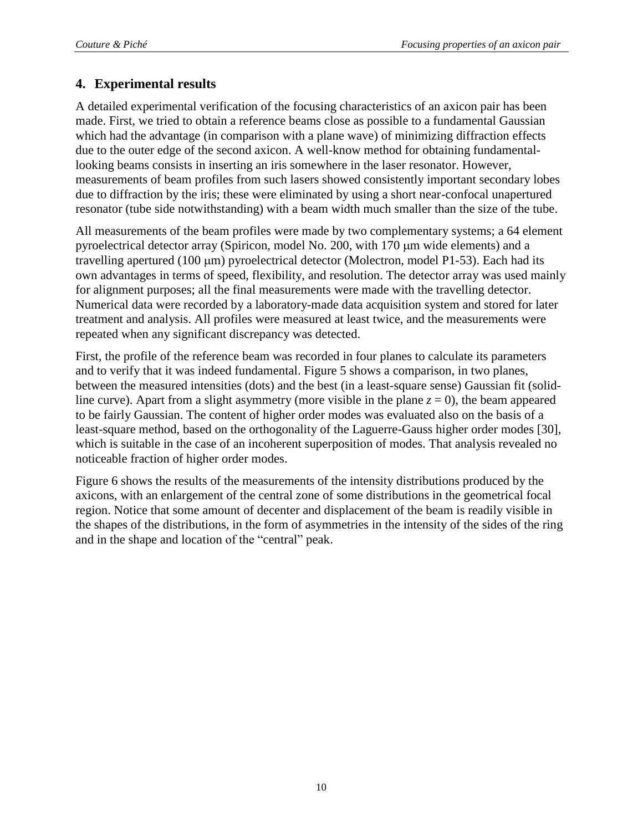## **4. Experimental results**

A detailed experimental verification of the focusing characteristics of an axicon pair has been made. First, we tried to obtain a reference beams close as possible to a fundamental Gaussian which had the advantage (in comparison with a plane wave) of minimizing diffraction effects due to the outer edge of the second axicon. A well-know method for obtaining fundamentallooking beams consists in inserting an iris somewhere in the laser resonator. However, measurements of beam profiles from such lasers showed consistently important secondary lobes due to diffraction by the iris; these were eliminated by using a short near-confocal unapertured resonator (tube side notwithstanding) with a beam width much smaller than the size of the tube.

All measurements of the beam profiles were made by two complementary systems; a 64 element pyroelectrical detector array (Spiricon, model No. 200, with  $170 \mu m$  wide elements) and a travelling apertured (100  $\mu$ m) pyroelectrical detector (Molectron, model P1-53). Each had its own advantages in terms of speed, flexibility, and resolution. The detector array was used mainly for alignment purposes; all the final measurements were made with the travelling detector. Numerical data were recorded by a laboratory-made data acquisition system and stored for later treatment and analysis. All profiles were measured at least twice, and the measurements were repeated when any significant discrepancy was detected.

First, the profile of the reference beam was recorded in four planes to calculate its parameters and to verify that it was indeed fundamental. Figure 5 shows a comparison, in two planes, between the measured intensities (dots) and the best (in a least-square sense) Gaussian fit (solidline curve). Apart from a slight asymmetry (more visible in the plane  $z = 0$ ), the beam appeared to be fairly Gaussian. The content of higher order modes was evaluated also on the basis of a least-square method, based on the orthogonality of the Laguerre-Gauss higher order modes [30], which is suitable in the case of an incoherent superposition of modes. That analysis revealed no noticeable fraction of higher order modes.

Figure 6 shows the results of the measurements of the intensity distributions produced by the axicons, with an enlargement of the central zone of some distributions in the geometrical focal region. Notice that some amount of decenter and displacement of the beam is readily visible in the shapes of the distributions, in the form of asymmetries in the intensity of the sides of the ring and in the shape and location of the "central" peak.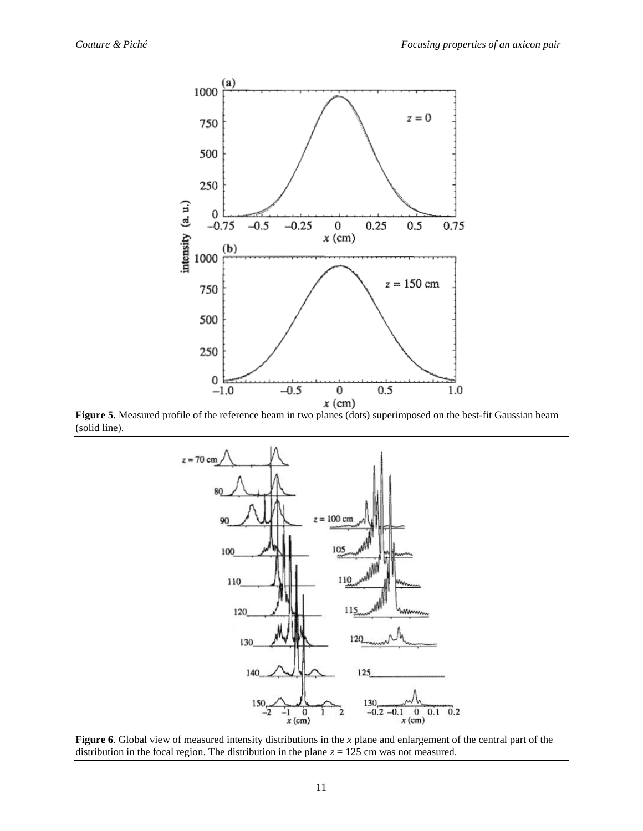

(solid line).



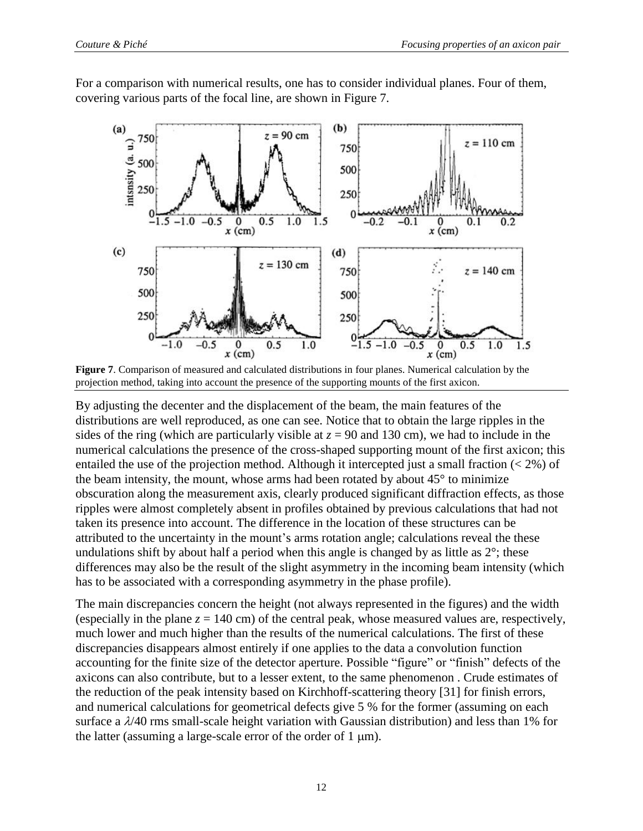For a comparison with numerical results, one has to consider individual planes. Four of them, covering various parts of the focal line, are shown in Figure 7.



**Figure 7**. Comparison of measured and calculated distributions in four planes. Numerical calculation by the projection method, taking into account the presence of the supporting mounts of the first axicon.

By adjusting the decenter and the displacement of the beam, the main features of the distributions are well reproduced, as one can see. Notice that to obtain the large ripples in the sides of the ring (which are particularly visible at  $z = 90$  and 130 cm), we had to include in the numerical calculations the presence of the cross-shaped supporting mount of the first axicon; this entailed the use of the projection method. Although it intercepted just a small fraction  $(< 2\%$ ) of the beam intensity, the mount, whose arms had been rotated by about 45° to minimize obscuration along the measurement axis, clearly produced significant diffraction effects, as those ripples were almost completely absent in profiles obtained by previous calculations that had not taken its presence into account. The difference in the location of these structures can be attributed to the uncertainty in the mount's arms rotation angle; calculations reveal the these undulations shift by about half a period when this angle is changed by as little as  $2^{\circ}$ ; these differences may also be the result of the slight asymmetry in the incoming beam intensity (which has to be associated with a corresponding asymmetry in the phase profile).

The main discrepancies concern the height (not always represented in the figures) and the width (especially in the plane  $z = 140$  cm) of the central peak, whose measured values are, respectively, much lower and much higher than the results of the numerical calculations. The first of these discrepancies disappears almost entirely if one applies to the data a convolution function accounting for the finite size of the detector aperture. Possible "figure" or "finish" defects of the axicons can also contribute, but to a lesser extent, to the same phenomenon . Crude estimates of the reduction of the peak intensity based on Kirchhoff-scattering theory [31] for finish errors, and numerical calculations for geometrical defects give 5 % for the former (assuming on each surface a  $\lambda$ /40 rms small-scale height variation with Gaussian distribution) and less than 1% for the latter (assuming a large-scale error of the order of  $1 \mu m$ ).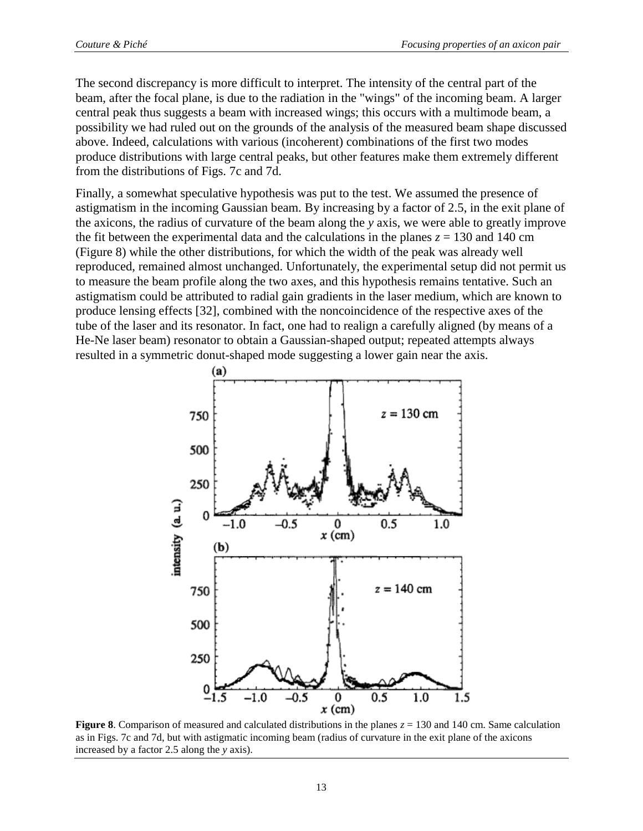The second discrepancy is more difficult to interpret. The intensity of the central part of the beam, after the focal plane, is due to the radiation in the "wings" of the incoming beam. A larger central peak thus suggests a beam with increased wings; this occurs with a multimode beam, a possibility we had ruled out on the grounds of the analysis of the measured beam shape discussed above. Indeed, calculations with various (incoherent) combinations of the first two modes produce distributions with large central peaks, but other features make them extremely different from the distributions of Figs. 7c and 7d.

Finally, a somewhat speculative hypothesis was put to the test. We assumed the presence of astigmatism in the incoming Gaussian beam. By increasing by a factor of 2.5, in the exit plane of the axicons, the radius of curvature of the beam along the *y* axis, we were able to greatly improve the fit between the experimental data and the calculations in the planes  $z = 130$  and 140 cm (Figure 8) while the other distributions, for which the width of the peak was already well reproduced, remained almost unchanged. Unfortunately, the experimental setup did not permit us to measure the beam profile along the two axes, and this hypothesis remains tentative. Such an astigmatism could be attributed to radial gain gradients in the laser medium, which are known to produce lensing effects [32], combined with the noncoincidence of the respective axes of the tube of the laser and its resonator. In fact, one had to realign a carefully aligned (by means of a He-Ne laser beam) resonator to obtain a Gaussian-shaped output; repeated attempts always resulted in a symmetric donut-shaped mode suggesting a lower gain near the axis.



**Figure 8.** Comparison of measured and calculated distributions in the planes  $z = 130$  and 140 cm. Same calculation as in Figs. 7c and 7d, but with astigmatic incoming beam (radius of curvature in the exit plane of the axicons increased by a factor 2.5 along the *y* axis).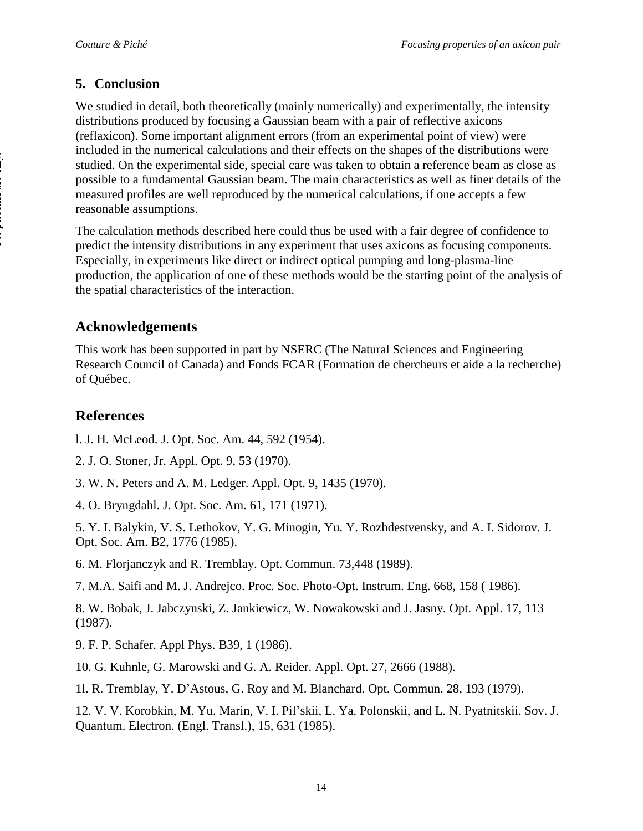## **5. Conclusion**

We studied in detail, both theoretically (mainly numerically) and experimentally, the intensity distributions produced by focusing a Gaussian beam with a pair of reflective axicons (reflaxicon). Some important alignment errors (from an experimental point of view) were included in the numerical calculations and their effects on the shapes of the distributions were studied. On the experimental side, special care was taken to obtain a reference beam as close as possible to a fundamental Gaussian beam. The main characteristics as well as finer details of the measured profiles are well reproduced by the numerical calculations, if one accepts a few reasonable assumptions.

The calculation methods described here could thus be used with a fair degree of confidence to predict the intensity distributions in any experiment that uses axicons as focusing components. Especially, in experiments like direct or indirect optical pumping and long-plasma-line production, the application of one of these methods would be the starting point of the analysis of the spatial characteristics of the interaction.

## **Acknowledgements**

This work has been supported in part by NSERC (The Natural Sciences and Engineering Research Council of Canada) and Fonds FCAR (Formation de chercheurs et aide a la recherche) of Québec.

# **References**

l. J. H. McLeod. J. Opt. Soc. Am. 44, 592 (1954).

2. J. O. Stoner, Jr. Appl. Opt. 9, 53 (1970).

3. W. N. Peters and A. M. Ledger. Appl. Opt. 9, 1435 (1970).

4. O. Bryngdahl. J. Opt. Soc. Am. 61, 171 (1971).

5. Y. I. Balykin, V. S. Lethokov, Y. G. Minogin, Yu. Y. Rozhdestvensky, and A. I. Sidorov. J. Opt. Soc. Am. B2, 1776 (1985).

6. M. Florjanczyk and R. Tremblay. Opt. Commun. 73,448 (1989).

7. M.A. Saifi and M. J. Andrejco. Proc. Soc. Photo-Opt. Instrum. Eng. 668, 158 ( 1986).

8. W. Bobak, J. Jabczynski, Z. Jankiewicz, W. Nowakowski and J. Jasny. Opt. Appl. 17, 113 (1987).

9. F. P. Schafer. Appl Phys. B39, 1 (1986).

10. G. Kuhnle, G. Marowski and G. A. Reider. Appl. Opt. 27, 2666 (1988).

1l. R. Tremblay, Y. D'Astous, G. Roy and M. Blanchard. Opt. Commun. 28, 193 (1979).

12. V. V. Korobkin, M. Yu. Marin, V. I. Pil'skii, L. Ya. Polonskii, and L. N. Pyatnitskii. Sov. J. Quantum. Electron. (Engl. Transl.), 15, 631 (1985).